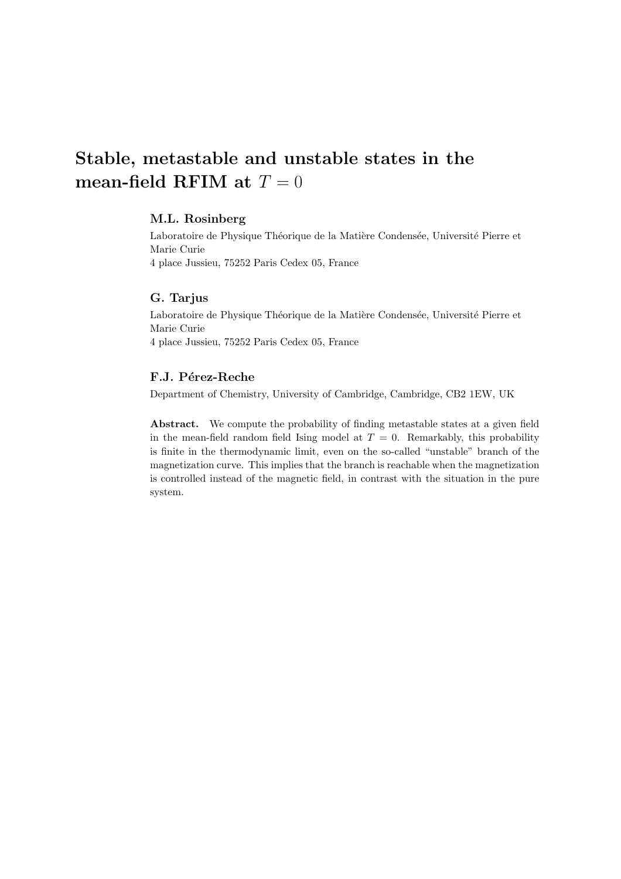# Stable, metastable and unstable states in the mean-field RFIM at  $T = 0$

## M.L. Rosinberg

Laboratoire de Physique Théorique de la Matière Condensée, Université Pierre et Marie Curie

4 place Jussieu, 75252 Paris Cedex 05, France

# G. Tarjus

Laboratoire de Physique Théorique de la Matière Condensée, Université Pierre et Marie Curie 4 place Jussieu, 75252 Paris Cedex 05, France

# F.J. Pérez-Reche

Department of Chemistry, University of Cambridge, Cambridge, CB2 1EW, UK

Abstract. We compute the probability of finding metastable states at a given field in the mean-field random field Ising model at  $T = 0$ . Remarkably, this probability is finite in the thermodynamic limit, even on the so-called "unstable" branch of the magnetization curve. This implies that the branch is reachable when the magnetization is controlled instead of the magnetic field, in contrast with the situation in the pure system.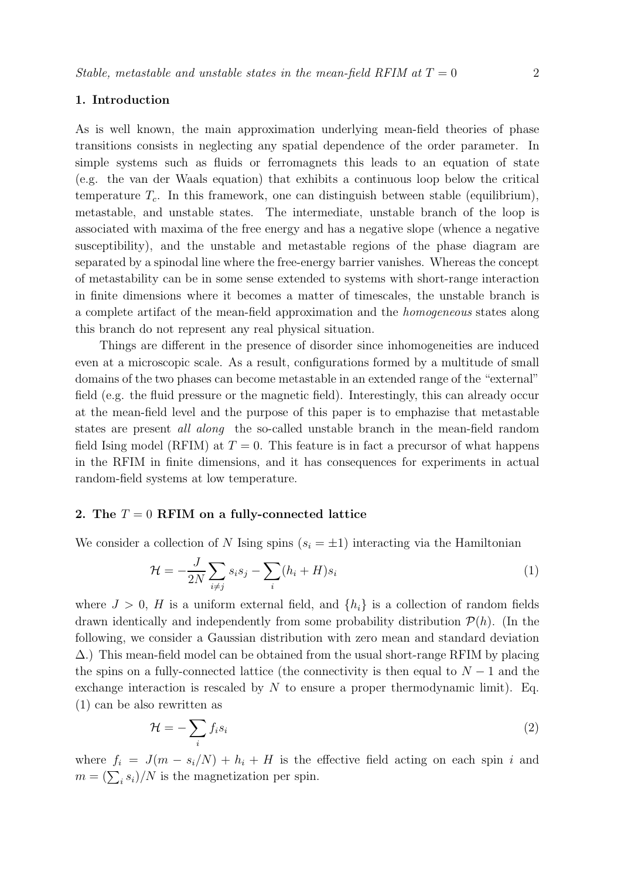## 1. Introduction

As is well known, the main approximation underlying mean-field theories of phase transitions consists in neglecting any spatial dependence of the order parameter. In simple systems such as fluids or ferromagnets this leads to an equation of state (e.g. the van der Waals equation) that exhibits a continuous loop below the critical temperature  $T_c$ . In this framework, one can distinguish between stable (equilibrium), metastable, and unstable states. The intermediate, unstable branch of the loop is associated with maxima of the free energy and has a negative slope (whence a negative susceptibility), and the unstable and metastable regions of the phase diagram are separated by a spinodal line where the free-energy barrier vanishes. Whereas the concept of metastability can be in some sense extended to systems with short-range interaction in finite dimensions where it becomes a matter of timescales, the unstable branch is a complete artifact of the mean-field approximation and the homogeneous states along this branch do not represent any real physical situation.

Things are different in the presence of disorder since inhomogeneities are induced even at a microscopic scale. As a result, configurations formed by a multitude of small domains of the two phases can become metastable in an extended range of the "external" field (e.g. the fluid pressure or the magnetic field). Interestingly, this can already occur at the mean-field level and the purpose of this paper is to emphazise that metastable states are present all along the so-called unstable branch in the mean-field random field Ising model (RFIM) at  $T = 0$ . This feature is in fact a precursor of what happens in the RFIM in finite dimensions, and it has consequences for experiments in actual random-field systems at low temperature.

## 2. The  $T = 0$  RFIM on a fully-connected lattice

We consider a collection of N Ising spins  $(s_i = \pm 1)$  interacting via the Hamiltonian

$$
\mathcal{H} = -\frac{J}{2N} \sum_{i \neq j} s_i s_j - \sum_i (h_i + H) s_i \tag{1}
$$

where  $J > 0$ , H is a uniform external field, and  $\{h_i\}$  is a collection of random fields drawn identically and independently from some probability distribution  $P(h)$ . (In the following, we consider a Gaussian distribution with zero mean and standard deviation  $\Delta$ .) This mean-field model can be obtained from the usual short-range RFIM by placing the spins on a fully-connected lattice (the connectivity is then equal to  $N-1$  and the exchange interaction is rescaled by  $N$  to ensure a proper thermodynamic limit). Eq. (1) can be also rewritten as

$$
\mathcal{H} = -\sum_{i} f_i s_i \tag{2}
$$

where  $f_i = J(m - s_i/N) + h_i + H$  is the effective field acting on each spin i and  $m = (\sum_i s_i)/N$  is the magnetization per spin.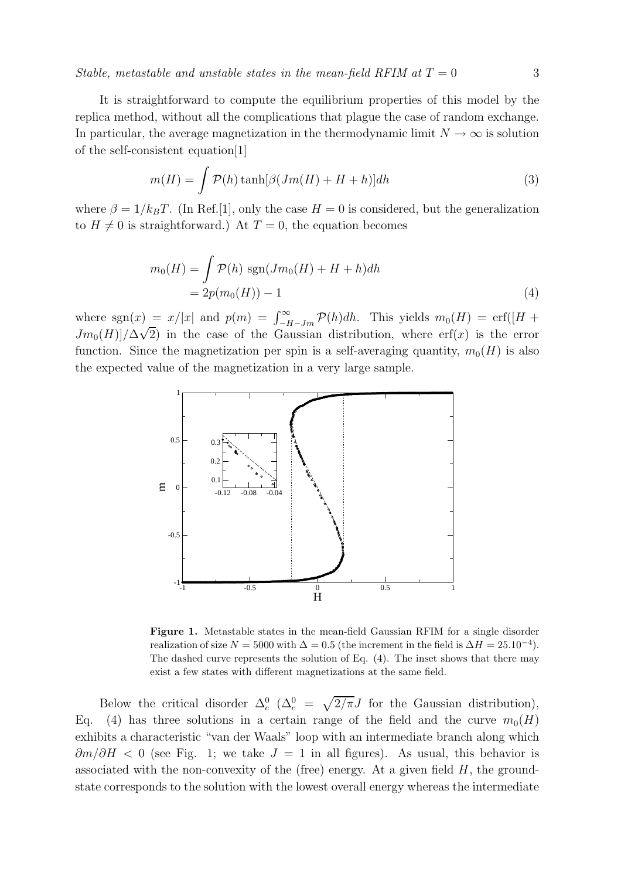Stable, metastable and unstable states in the mean-field RFIM at  $T = 0$  3

It is straightforward to compute the equilibrium properties of this model by the replica method, without all the complications that plague the case of random exchange. In particular, the average magnetization in the thermodynamic limit  $N \to \infty$  is solution of the self-consistent equation[1]

$$
m(H) = \int \mathcal{P}(h) \tanh[\beta(Jm(H) + H + h)]dh \tag{3}
$$

where  $\beta = 1/k_BT$ . (In Ref.[1], only the case  $H = 0$  is considered, but the generalization to  $H \neq 0$  is straightforward.) At  $T = 0$ , the equation becomes

$$
m_0(H) = \int \mathcal{P}(h) \operatorname{sgn}(Jm_0(H) + H + h)dh
$$
  
= 
$$
2p(m_0(H)) - 1
$$
 (4)

where sgn(x) =  $x/|x|$  and  $p(m) = \int_{-H-Jm}^{\infty} \mathcal{P}(h) dh$ . This yields  $m_0(H) = \text{erf}([H +$  $Jm_0(H)/\Delta\sqrt{2}$  in the case of the Gaussian distribution, where erf(x) is the error function. Since the magnetization per spin is a self-averaging quantity,  $m_0(H)$  is also the expected value of the magnetization in a very large sample.



Figure 1. Metastable states in the mean-field Gaussian RFIM for a single disorder realization of size  $N = 5000$  with  $\Delta = 0.5$  (the increment in the field is  $\Delta H = 25.10^{-4}$ ). The dashed curve represents the solution of Eq. (4). The inset shows that there may exist a few states with different magnetizations at the same field.

Below the critical disorder  $\Delta_c^0$  ( $\Delta_c^0 = \sqrt{2/\pi}J$  for the Gaussian distribution), Eq. (4) has three solutions in a certain range of the field and the curve  $m_0(H)$ exhibits a characteristic "van der Waals" loop with an intermediate branch along which  $\partial m/\partial H$  < 0 (see Fig. 1; we take  $J = 1$  in all figures). As usual, this behavior is associated with the non-convexity of the (free) energy. At a given field  $H$ , the groundstate corresponds to the solution with the lowest overall energy whereas the intermediate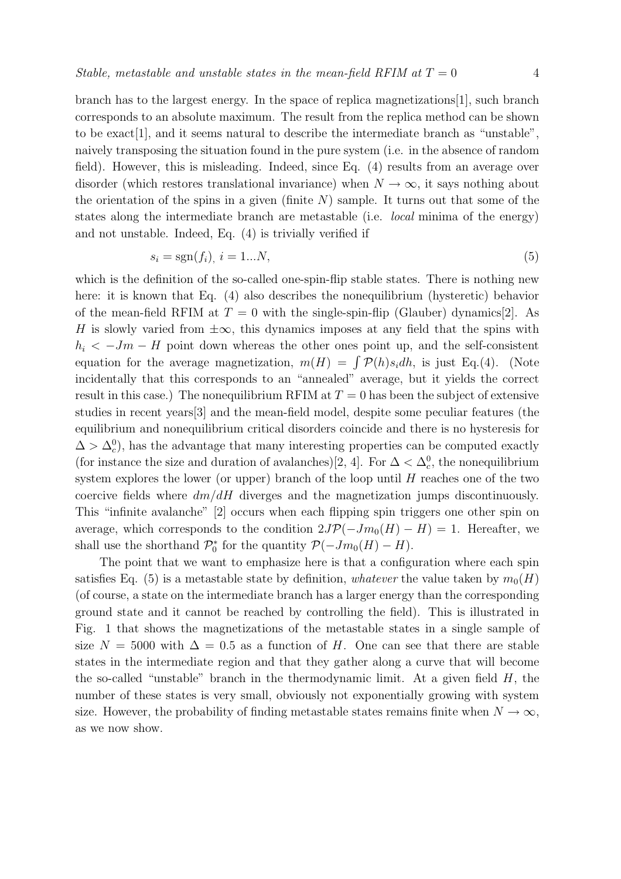branch has to the largest energy. In the space of replica magnetizations[1], such branch corresponds to an absolute maximum. The result from the replica method can be shown to be exact[1], and it seems natural to describe the intermediate branch as "unstable", naively transposing the situation found in the pure system (i.e. in the absence of random field). However, this is misleading. Indeed, since Eq. (4) results from an average over disorder (which restores translational invariance) when  $N \to \infty$ , it says nothing about the orientation of the spins in a given (finite  $N$ ) sample. It turns out that some of the states along the intermediate branch are metastable (i.e. local minima of the energy) and not unstable. Indeed, Eq. (4) is trivially verified if

$$
s_i = \text{sgn}(f_i), \ i = 1...N,\tag{5}
$$

which is the definition of the so-called one-spin-flip stable states. There is nothing new here: it is known that Eq. (4) also describes the nonequilibrium (hysteretic) behavior of the mean-field RFIM at  $T = 0$  with the single-spin-flip (Glauber) dynamics[2]. As H is slowly varied from  $\pm \infty$ , this dynamics imposes at any field that the spins with  $h_i < -Jm - H$  point down whereas the other ones point up, and the self-consistent equation for the average magnetization,  $m(H) = \int \mathcal{P}(h)s_i dh$ , is just Eq.(4). (Note incidentally that this corresponds to an "annealed" average, but it yields the correct result in this case.) The nonequilibrium RFIM at  $T = 0$  has been the subject of extensive studies in recent years[3] and the mean-field model, despite some peculiar features (the equilibrium and nonequilibrium critical disorders coincide and there is no hysteresis for  $\Delta > \Delta_c^0$ , has the advantage that many interesting properties can be computed exactly (for instance the size and duration of avalanches)[2, 4]. For  $\Delta < \Delta_c^0$ , the nonequilibrium system explores the lower (or upper) branch of the loop until  $H$  reaches one of the two coercive fields where  $dm/dH$  diverges and the magnetization jumps discontinuously. This "infinite avalanche" [2] occurs when each flipping spin triggers one other spin on average, which corresponds to the condition  $2J\mathcal{P}(-Jm_0(H) - H) = 1$ . Hereafter, we shall use the shorthand  $\mathcal{P}_0^*$  for the quantity  $\mathcal{P}(-Jm_0(H) - H)$ .

The point that we want to emphasize here is that a configuration where each spin satisfies Eq. (5) is a metastable state by definition, whatever the value taken by  $m_0(H)$ (of course, a state on the intermediate branch has a larger energy than the corresponding ground state and it cannot be reached by controlling the field). This is illustrated in Fig. 1 that shows the magnetizations of the metastable states in a single sample of size  $N = 5000$  with  $\Delta = 0.5$  as a function of H. One can see that there are stable states in the intermediate region and that they gather along a curve that will become the so-called "unstable" branch in the thermodynamic limit. At a given field  $H$ , the number of these states is very small, obviously not exponentially growing with system size. However, the probability of finding metastable states remains finite when  $N \to \infty$ , as we now show.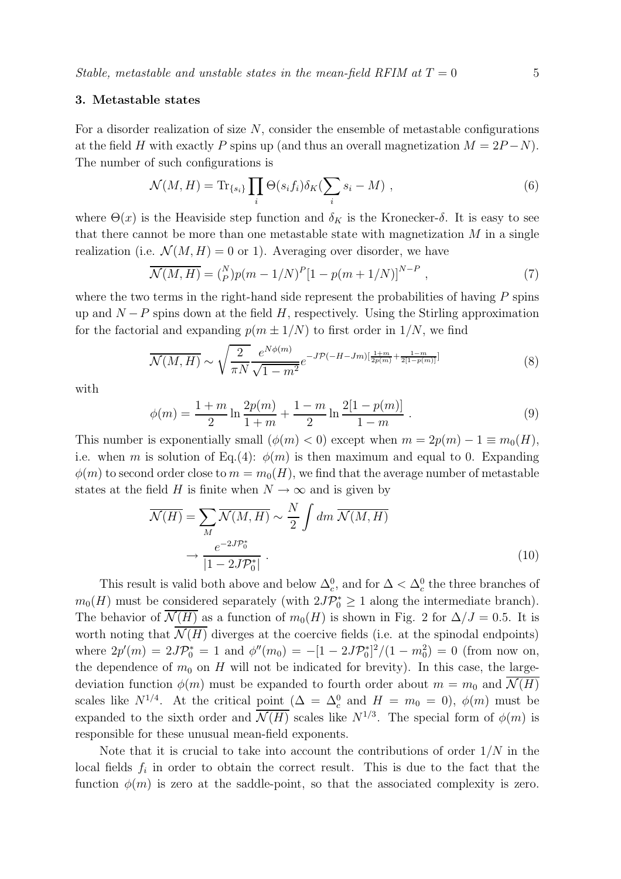## 3. Metastable states

For a disorder realization of size  $N$ , consider the ensemble of metastable configurations at the field H with exactly P spins up (and thus an overall magnetization  $M = 2P - N$ ). The number of such configurations is

$$
\mathcal{N}(M, H) = \text{Tr}_{\{s_i\}} \prod_i \Theta(s_i f_i) \delta_K(\sum_i s_i - M) , \qquad (6)
$$

where  $\Theta(x)$  is the Heaviside step function and  $\delta_K$  is the Kronecker-δ. It is easy to see that there cannot be more than one metastable state with magnetization  $M$  in a single realization (i.e.  $\mathcal{N}(M, H) = 0$  or 1). Averaging over disorder, we have

$$
\overline{\mathcal{N}(M,H)} = \binom{N}{P} p(m-1/N)^P [1 - p(m+1/N)]^{N-P} , \qquad (7)
$$

where the two terms in the right-hand side represent the probabilities of having  $P$  spins up and  $N-P$  spins down at the field H, respectively. Using the Stirling approximation for the factorial and expanding  $p(m \pm 1/N)$  to first order in  $1/N$ , we find

$$
\overline{\mathcal{N}(M,H)} \sim \sqrt{\frac{2}{\pi N}} \frac{e^{N\phi(m)}}{\sqrt{1 - m^2}} e^{-J\mathcal{P}(-H - Jm)[\frac{1 + m}{2p(m)} + \frac{1 - m}{2[1 - p(m)]}]}\tag{8}
$$

with

$$
\phi(m) = \frac{1+m}{2} \ln \frac{2p(m)}{1+m} + \frac{1-m}{2} \ln \frac{2[1-p(m)]}{1-m} . \tag{9}
$$

This number is exponentially small  $(\phi(m) < 0)$  except when  $m = 2p(m) - 1 \equiv m_0(H)$ , i.e. when m is solution of Eq.(4):  $\phi(m)$  is then maximum and equal to 0. Expanding  $\phi(m)$  to second order close to  $m = m_0(H)$ , we find that the average number of metastable states at the field H is finite when  $N \to \infty$  and is given by

$$
\overline{\mathcal{N}(H)} = \sum_{M} \overline{\mathcal{N}(M, H)} \sim \frac{N}{2} \int dm \, \overline{\mathcal{N}(M, H)}
$$
\n
$$
\rightarrow \frac{e^{-2J\mathcal{P}_0^*}}{|1 - 2J\mathcal{P}_0^*|} \,. \tag{10}
$$

This result is valid both above and below  $\Delta_c^0$ , and for  $\Delta < \Delta_c^0$  the three branches of  $m_0(H)$  must be considered separately (with  $2J\mathcal{P}_0^* \geq 1$  along the intermediate branch). The behavior of  $\mathcal{N}(H)$  as a function of  $m_0(H)$  is shown in Fig. 2 for  $\Delta/J = 0.5$ . It is worth noting that  $\overline{\mathcal{N}(H)}$  diverges at the coercive fields (i.e. at the spinodal endpoints) where  $2p'(m) = 2J\mathcal{P}_0^* = 1$  and  $\phi''(m_0) = -[1 - 2J\mathcal{P}_0^*]^2/(1 - m_0^2) = 0$  (from now on, the dependence of  $m_0$  on H will not be indicated for brevity). In this case, the largedeviation function  $\phi(m)$  must be expanded to fourth order about  $m = m_0$  and  $\mathcal{N}(H)$ scales like  $N^{1/4}$ . At the critical point  $(\Delta = \Delta_c^0$  and  $H = m_0 = 0)$ ,  $\phi(m)$  must be expanded to the sixth order and  $\overline{\mathcal{N}(H)}$  scales like  $N^{1/3}$ . The special form of  $\phi(m)$  is responsible for these unusual mean-field exponents.

Note that it is crucial to take into account the contributions of order  $1/N$  in the local fields  $f_i$  in order to obtain the correct result. This is due to the fact that the function  $\phi(m)$  is zero at the saddle-point, so that the associated complexity is zero.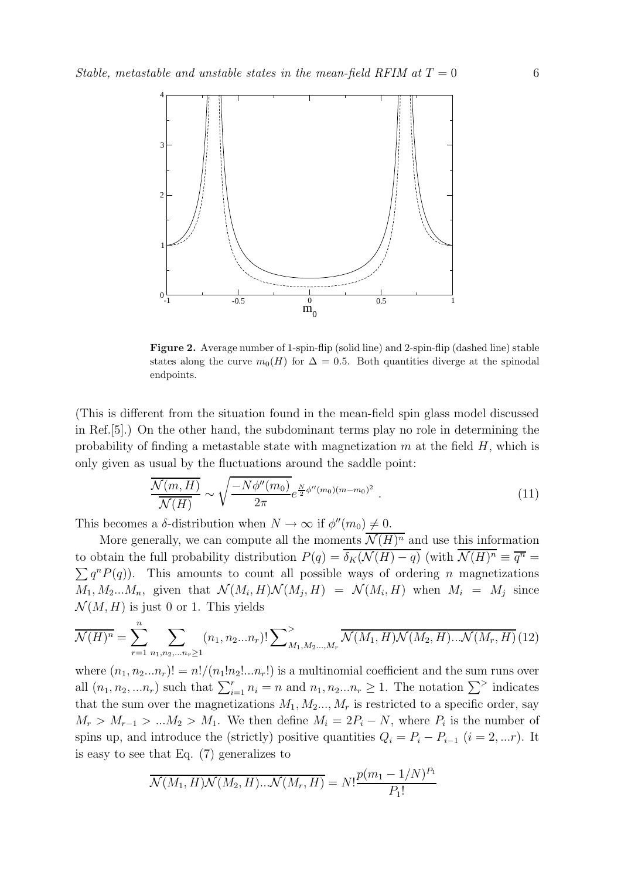

Figure 2. Average number of 1-spin-flip (solid line) and 2-spin-flip (dashed line) stable states along the curve  $m_0(H)$  for  $\Delta = 0.5$ . Both quantities diverge at the spinodal endpoints.

(This is different from the situation found in the mean-field spin glass model discussed in Ref.[5].) On the other hand, the subdominant terms play no role in determining the probability of finding a metastable state with magnetization  $m$  at the field  $H$ , which is only given as usual by the fluctuations around the saddle point:

$$
\frac{\overline{\mathcal{N}(m,H)}}{\overline{\mathcal{N}(H)}} \sim \sqrt{\frac{-N\phi''(m_0)}{2\pi}} e^{\frac{N}{2}\phi''(m_0)(m-m_0)^2} . \tag{11}
$$

This becomes a  $\delta$ -distribution when  $N \to \infty$  if  $\phi''(m_0) \neq 0$ .

More generally, we can compute all the moments  $\mathcal{N}(H)^n$  and use this information to obtain the full probability distribution  $P(q) = \delta_K(\mathcal{N}(H) - q)$  (with  $\mathcal{N}(H)^n \equiv \overline{q^n} =$  $\sum q^n P(q)$ . This amounts to count all possible ways of ordering n magnetizations  $M_1, M_2...M_n$ , given that  $\mathcal{N}(M_i, H)\mathcal{N}(M_j, H) = \mathcal{N}(M_i, H)$  when  $M_i = M_j$  since  $\mathcal{N}(M, H)$  is just 0 or 1. This yields

$$
\overline{\mathcal{N}(H)^n} = \sum_{r=1}^n \sum_{n_1, n_2, \dots n_r \ge 1} (n_1, n_2 \dots n_r)! \sum_{M_1, M_2, \dots, M_r} \overline{\mathcal{N}(M_1, H) \mathcal{N}(M_2, H) \dots \mathcal{N}(M_r, H)} (12)
$$

where  $(n_1, n_2...n_r)! = n!/(n_1!n_2!...n_r!)$  is a multinomial coefficient and the sum runs over all  $(n_1, n_2, ... n_r)$  such that  $\sum_{i=1}^r n_i = n$  and  $n_1, n_2...n_r \ge 1$ . The notation  $\sum^>$  indicates that the sum over the magnetizations  $M_1, M_2, ..., M_r$  is restricted to a specific order, say  $M_r > M_{r-1} > ... M_2 > M_1$ . We then define  $M_i = 2P_i - N$ , where  $P_i$  is the number of spins up, and introduce the (strictly) positive quantities  $Q_i = P_i - P_{i-1}$  ( $i = 2, ...r$ ). It is easy to see that Eq. (7) generalizes to

$$
\overline{\mathcal{N}(M_1, H)\mathcal{N}(M_2, H)\dots \mathcal{N}(M_r, H)} = N! \frac{p(m_1 - 1/N)^{P_1}}{P_1!}
$$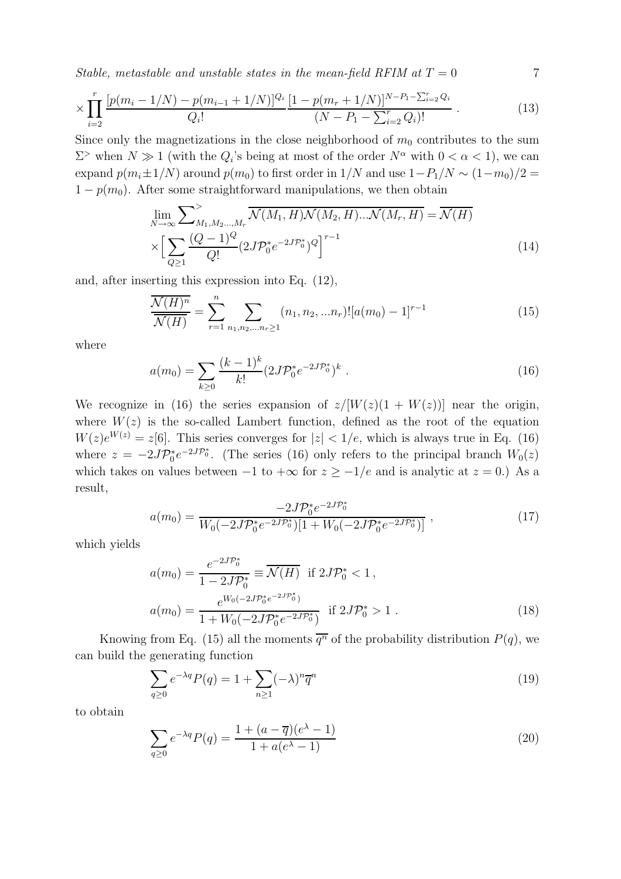Stable, metastable and unstable states in the mean-field RFIM at  $T = 0$  7

$$
\times \prod_{i=2}^{r} \frac{[p(m_i - 1/N) - p(m_{i-1} + 1/N)]^{Q_i}}{Q_i!} \frac{[1 - p(m_r + 1/N)]^{N - P_1 - \sum_{i=2}^{r} Q_i}}{(N - P_1 - \sum_{i=2}^{r} Q_i)!} \,. \tag{13}
$$

Since only the magnetizations in the close neighborhood of  $m_0$  contributes to the sum  $\Sigma^>$  when  $N \gg 1$  (with the  $Q_i$ 's being at most of the order  $N^{\alpha}$  with  $0 < \alpha < 1$ ), we can expand  $p(m_i \pm 1/N)$  around  $p(m_0)$  to first order in  $1/N$  and use  $1-P_1/N \sim (1-m_0)/2 =$  $1 - p(m_0)$ . After some straightforward manipulations, we then obtain

$$
\lim_{N \to \infty} \sum_{M_1, M_2, \dots, M_r}^{\geq} \overline{\mathcal{N}(M_1, H) \mathcal{N}(M_2, H) \dots \mathcal{N}(M_r, H)} = \overline{\mathcal{N}(H)}
$$
\n
$$
\times \Big[ \sum_{Q \geq 1} \frac{(Q - 1)^Q}{Q!} (2J\mathcal{P}_0^* e^{-2J\mathcal{P}_0^*})^Q \Big]^{r-1} \tag{14}
$$

and, after inserting this expression into Eq. (12),

$$
\frac{\overline{\mathcal{N}(H)^n}}{\overline{\mathcal{N}(H)}} = \sum_{r=1}^n \sum_{n_1, n_2, \dots n_r \ge 1} (n_1, n_2, \dots n_r)! [a(m_0) - 1]^{r-1}
$$
\n(15)

where

$$
a(m_0) = \sum_{k \ge 0} \frac{(k-1)^k}{k!} (2J\mathcal{P}_0^* e^{-2J\mathcal{P}_0^*})^k \tag{16}
$$

We recognize in (16) the series expansion of  $z/[W(z)(1 + W(z))]$  near the origin, where  $W(z)$  is the so-called Lambert function, defined as the root of the equation  $W(z)e^{W(z)} = z[6]$ . This series converges for  $|z| < 1/e$ , which is always true in Eq. (16) where  $z = -2J\mathcal{P}_0^*e^{-2J\mathcal{P}_0^*}$ . (The series (16) only refers to the principal branch  $W_0(z)$ which takes on values between  $-1$  to  $+\infty$  for  $z \ge -1/e$  and is analytic at  $z = 0$ .) As a result,

$$
a(m_0) = \frac{-2J\mathcal{P}_0^* e^{-2J\mathcal{P}_0^*}}{W_0(-2J\mathcal{P}_0^* e^{-2J\mathcal{P}_0^*})[1 + W_0(-2J\mathcal{P}_0^* e^{-2J\mathcal{P}_0^*})]},
$$
\n(17)

which yields

$$
a(m_0) = \frac{e^{-2J\mathcal{P}_0^*}}{1 - 2J\mathcal{P}_0^*} \equiv \overline{\mathcal{N}(H)} \quad \text{if } 2J\mathcal{P}_0^* < 1,
$$
  

$$
a(m_0) = \frac{e^{W_0(-2J\mathcal{P}_0^*e^{-2J\mathcal{P}_0^*})}}{1 + W_0(-2J\mathcal{P}_0^*e^{-2J\mathcal{P}_0^*})} \quad \text{if } 2J\mathcal{P}_0^* > 1.
$$
 (18)

Knowing from Eq. (15) all the moments  $\overline{q^n}$  of the probability distribution  $P(q)$ , we can build the generating function

$$
\sum_{q\geq 0} e^{-\lambda q} P(q) = 1 + \sum_{n\geq 1} (-\lambda)^n \overline{q}^n \tag{19}
$$

to obtain

$$
\sum_{q\geq 0} e^{-\lambda q} P(q) = \frac{1 + (a - \overline{q})(e^{\lambda} - 1)}{1 + a(e^{\lambda} - 1)}
$$
(20)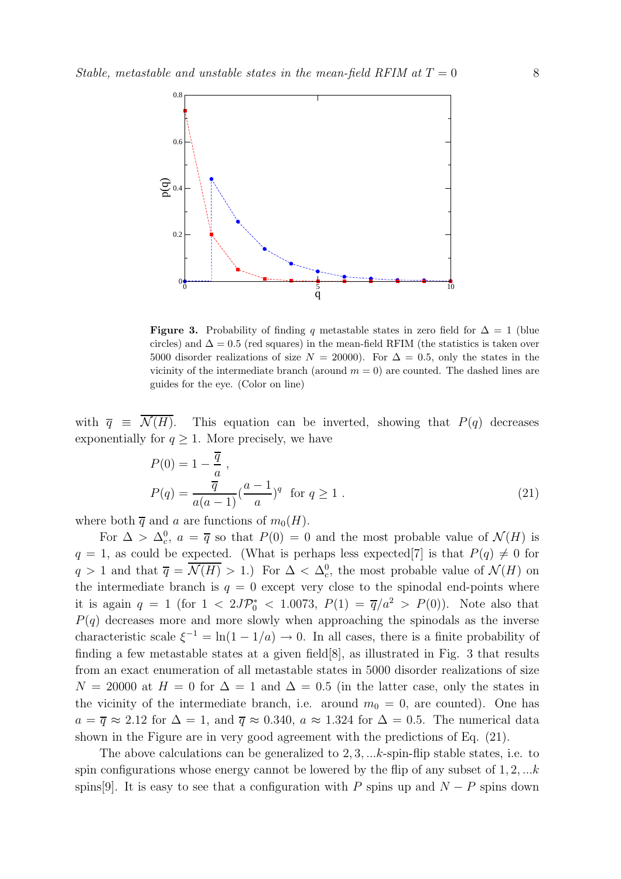

**Figure 3.** Probability of finding q metastable states in zero field for  $\Delta = 1$  (blue circles) and  $\Delta = 0.5$  (red squares) in the mean-field RFIM (the statistics is taken over 5000 disorder realizations of size  $N = 20000$ . For  $\Delta = 0.5$ , only the states in the vicinity of the intermediate branch (around  $m = 0$ ) are counted. The dashed lines are guides for the eye. (Color on line)

with  $\overline{q} \equiv \mathcal{N}(H)$ . This equation can be inverted, showing that  $P(q)$  decreases exponentially for  $q \geq 1$ . More precisely, we have

$$
P(0) = 1 - \frac{\overline{q}}{a},
$$
  
\n
$$
P(q) = \frac{\overline{q}}{a(a-1)} \left(\frac{a-1}{a}\right)^q \text{ for } q \ge 1.
$$
\n(21)

where both  $\overline{q}$  and a are functions of  $m_0(H)$ .

For  $\Delta > \Delta_c^0$ ,  $a = \overline{q}$  so that  $P(0) = 0$  and the most probable value of  $\mathcal{N}(H)$  is  $q = 1$ , as could be expected. (What is perhaps less expected [7] is that  $P(q) \neq 0$  for  $q > 1$  and that  $\overline{q} = \mathcal{N}(H) > 1$ .) For  $\Delta < \Delta_c^0$ , the most probable value of  $\mathcal{N}(H)$  on the intermediate branch is  $q = 0$  except very close to the spinodal end-points where it is again  $q = 1$  (for  $1 < 2J\mathcal{P}_0^* < 1.0073$ ,  $P(1) = \overline{q}/a^2 > P(0)$ ). Note also that  $P(q)$  decreases more and more slowly when approaching the spinodals as the inverse characteristic scale  $\xi^{-1} = \ln(1 - 1/a) \to 0$ . In all cases, there is a finite probability of finding a few metastable states at a given field[8], as illustrated in Fig. 3 that results from an exact enumeration of all metastable states in 5000 disorder realizations of size  $N = 20000$  at  $H = 0$  for  $\Delta = 1$  and  $\Delta = 0.5$  (in the latter case, only the states in the vicinity of the intermediate branch, i.e. around  $m_0 = 0$ , are counted). One has  $a = \overline{q} \approx 2.12$  for  $\Delta = 1$ , and  $\overline{q} \approx 0.340$ ,  $a \approx 1.324$  for  $\Delta = 0.5$ . The numerical data shown in the Figure are in very good agreement with the predictions of Eq. (21).

The above calculations can be generalized to  $2, 3, \ldots k$ -spin-flip stable states, i.e. to spin configurations whose energy cannot be lowered by the flip of any subset of  $1, 2, \ldots k$ spins[9]. It is easy to see that a configuration with P spins up and  $N - P$  spins down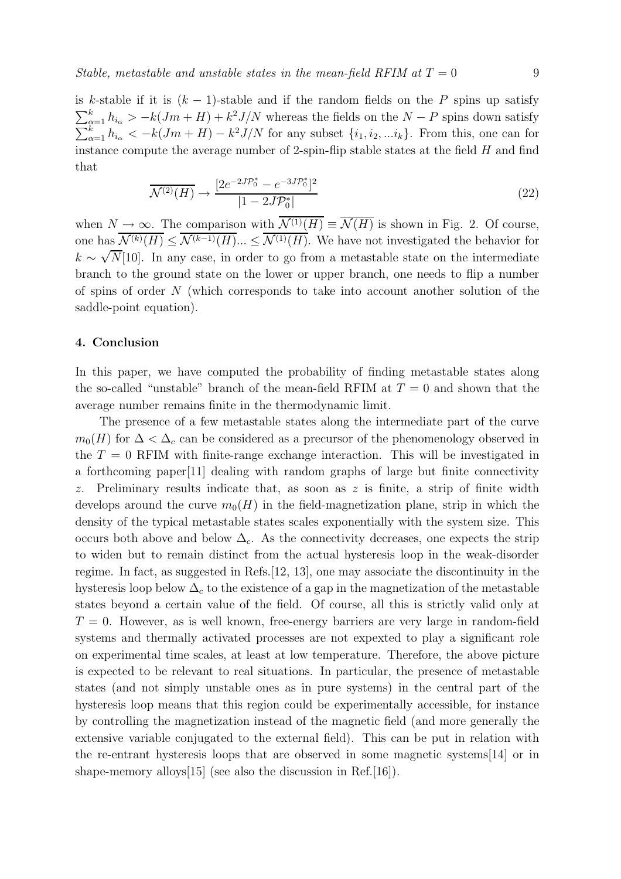is k-stable if it is  $(k-1)$ -stable and if the random fields on the P spins up satisfy  $\sum_{\alpha=1}^{k} h_{i\alpha} > -k(Jm+H) + k^2 J/N$  whereas the fields on the  $N-P$  spins down satisfy  $\sum_{\alpha=1}^{k} h_{i_{\alpha}} < -k(Jm+H) - k^2 J/N$  for any subset  $\{i_1, i_2, ... i_k\}$ . From this, one can for instance compute the average number of 2-spin-flip stable states at the field  $H$  and find that

$$
\overline{\mathcal{N}^{(2)}(H)} \to \frac{[2e^{-2J\mathcal{P}_0^*} - e^{-3J\mathcal{P}_0^*}]^2}{|1 - 2J\mathcal{P}_0^*|}
$$
(22)

when  $N \to \infty$ . The comparison with  $\overline{\mathcal{N}^{(1)}(H)} \equiv \overline{\mathcal{N}(H)}$  is shown in Fig. 2. Of course, one has  $\mathcal{N}^{(k)}(H) \leq \mathcal{N}^{(k-1)}(H) \dots \leq \mathcal{N}^{(1)}(H)$ . We have not investigated the behavior for  $k \sim \sqrt{N}$ [10]. In any case, in order to go from a metastable state on the intermediate branch to the ground state on the lower or upper branch, one needs to flip a number of spins of order N (which corresponds to take into account another solution of the saddle-point equation).

#### 4. Conclusion

In this paper, we have computed the probability of finding metastable states along the so-called "unstable" branch of the mean-field RFIM at  $T = 0$  and shown that the average number remains finite in the thermodynamic limit.

The presence of a few metastable states along the intermediate part of the curve  $m_0(H)$  for  $\Delta < \Delta_c$  can be considered as a precursor of the phenomenology observed in the  $T = 0$  RFIM with finite-range exchange interaction. This will be investigated in a forthcoming paper[11] dealing with random graphs of large but finite connectivity z. Preliminary results indicate that, as soon as  $z$  is finite, a strip of finite width develops around the curve  $m_0(H)$  in the field-magnetization plane, strip in which the density of the typical metastable states scales exponentially with the system size. This occurs both above and below  $\Delta_c$ . As the connectivity decreases, one expects the strip to widen but to remain distinct from the actual hysteresis loop in the weak-disorder regime. In fact, as suggested in Refs.[12, 13], one may associate the discontinuity in the hysteresis loop below  $\Delta_c$  to the existence of a gap in the magnetization of the metastable states beyond a certain value of the field. Of course, all this is strictly valid only at  $T = 0$ . However, as is well known, free-energy barriers are very large in random-field systems and thermally activated processes are not expexted to play a significant role on experimental time scales, at least at low temperature. Therefore, the above picture is expected to be relevant to real situations. In particular, the presence of metastable states (and not simply unstable ones as in pure systems) in the central part of the hysteresis loop means that this region could be experimentally accessible, for instance by controlling the magnetization instead of the magnetic field (and more generally the extensive variable conjugated to the external field). This can be put in relation with the re-entrant hysteresis loops that are observed in some magnetic systems[14] or in shape-memory alloys [15] (see also the discussion in Ref. [16]).